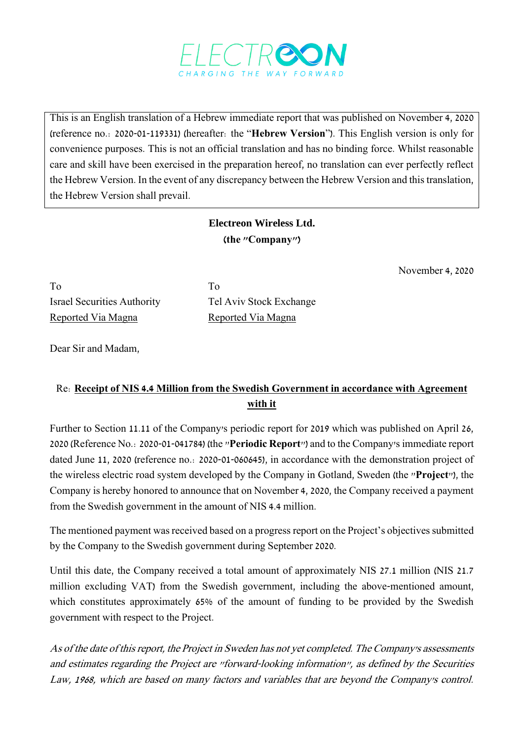

This is an English translation of a Hebrew immediate report that was published on November 4, 2020 (reference no.: 2020-01-119331) (hereafter: the "**Hebrew Version**"). This English version is only for convenience purposes. This is not an official translation and has no binding force. Whilst reasonable care and skill have been exercised in the preparation hereof, no translation can ever perfectly reflect the Hebrew Version. In the event of any discrepancy between the Hebrew Version and this translation, the Hebrew Version shall prevail.

## **Electreon Wireless Ltd. )the "Company"(**

November 4, 2020

To To Israel Securities Authority Tel Aviv Stock Exchange Reported Via Magna<br>
Reported Via Magna

Dear Sir and Madam,

## Re: **Receipt of NIS 4.4 Million from the Swedish Government in accordance with Agreement with it**

Further to Section 11.11 of the Company's periodic report for 2019 which was published on April 26, 2020 (Reference No.: 2020-01-041784) (the "**Periodic Report**") and to the Company's immediate report dated June 11, 2020 (reference no.: 2020-01-060645), in accordance with the demonstration project of the wireless electric road system developed by the Company in Gotland, Sweden (the "**Project**"), the Company is hereby honored to announce that on November 4, 2020, the Company received a payment from the Swedish government in the amount of NIS 4.4 million.

The mentioned payment was received based on a progress report on the Project's objectives submitted by the Company to the Swedish government during September 2020.

Until this date, the Company received a total amount of approximately NIS 27.1 million (NIS 21.7 million excluding VAT) from the Swedish government, including the above-mentioned amount, which constitutes approximately 65% of the amount of funding to be provided by the Swedish government with respect to the Project.

As of the date of this report, the Project in Sweden has not yet completed. The Company's assessments and estimates regarding the Project are "forward-looking information", as defined by the Securities Law, 1968, which are based on many factors and variables that are beyond the Company's control.